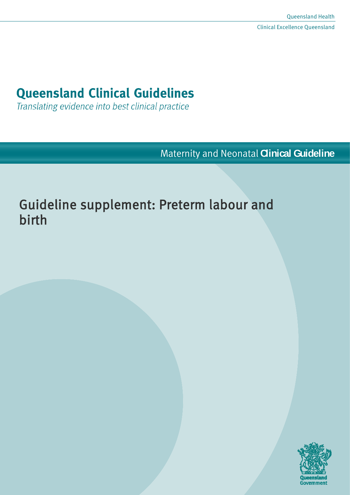# **Queensland Clinical Guidelines**

Translating evidence into best clinical practice

Maternity and Neonatal **Clinical Guideline**

# Guideline supplement: Preterm labour and birth

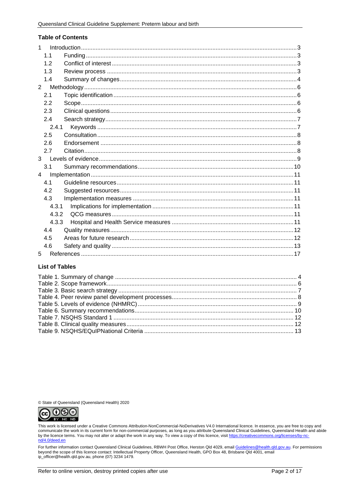#### **Table of Contents**

| 1              |       |  |
|----------------|-------|--|
|                | 1.1   |  |
|                | 1.2   |  |
|                | 1.3   |  |
|                | 1.4   |  |
| $\overline{2}$ |       |  |
|                | 2.1   |  |
|                | 2.2   |  |
|                | 2.3   |  |
|                | 2.4   |  |
|                | 2.4.1 |  |
|                | 2.5   |  |
|                | 2.6   |  |
|                | 2.7   |  |
| $\mathbf{3}$   |       |  |
|                | 3.1   |  |
| 4              |       |  |
|                | 4.1   |  |
|                | 4.2   |  |
|                | 4.3   |  |
|                | 4.3.1 |  |
|                | 4.3.2 |  |
|                | 4.3.3 |  |
|                | 4.4   |  |
|                | 4.5   |  |
|                | 4.6   |  |
| 5              |       |  |

#### **List of Tables**

© State of Queensland (Queensland Health) 2020



This work is licensed under a Creative Commons Attribution-NonCommercial-NoDerivatives V4.0 International licence. In essence, you are free to copy and communicate the work in its current form for non-commercial purposes, as long as you attribute Queensland Clinical Guidelines, in essence, we are to communicate the work in its current form for non-commercial purposes, as nd/4.0/deed.en

For further information contact Queensland Clinical Guidelines, RBWH Post Office, Herston Qld 4029, email Guidelines@health.qld.gov.au. For permissions beyond the scope of this licence contact: Intellectual Property Officer, Queensland Health, GPO Box 48, Brisbane Qld 4001, email ip\_officer@health.qld.gov.au, phone (07) 3234 1479.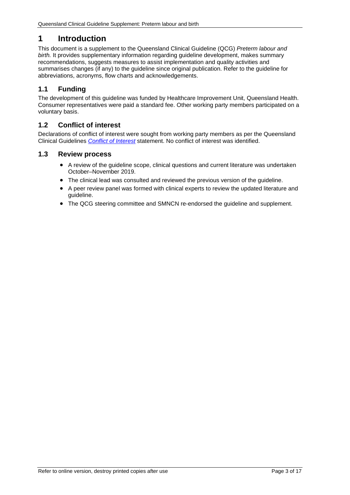# <span id="page-2-0"></span>**1 Introduction**

This document is a supplement to the Queensland Clinical Guideline (QCG) *Preterm labour and*  birth. It provides supplementary information regarding guideline development, makes summary recommendations, suggests measures to assist implementation and quality activities and summarises changes (if any) to the guideline since original publication. Refer to the guideline for abbreviations, acronyms, flow charts and acknowledgements.

# <span id="page-2-1"></span>**1.1 Funding**

The development of this guideline was funded by Healthcare Improvement Unit, Queensland Health. Consumer representatives were paid a standard fee. Other working party members participated on a voluntary basis.

### <span id="page-2-2"></span>**1.2 Conflict of interest**

Declarations of conflict of interest were sought from working party members as per the Queensland Clinical Guidelines *[Conflict of Interest](http://www.health.qld.gov.au/qcg/development#coi)* statement. No conflict of interest was identified.

#### <span id="page-2-3"></span>**1.3 Review process**

- A review of the guideline scope, clinical questions and current literature was undertaken October–November 2019.
- The clinical lead was consulted and reviewed the previous version of the guideline.
- A peer review panel was formed with clinical experts to review the updated literature and guideline.
- The QCG steering committee and SMNCN re-endorsed the guideline and supplement.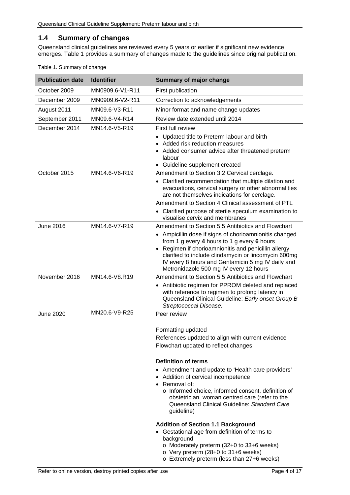#### <span id="page-3-0"></span>**1.4 Summary of changes**

Queensland clinical guidelines are reviewed every 5 years or earlier if significant new evidence emerges. [Table 1](#page-3-1) provides a summary of changes made to the guidelines since original publication.

| <b>Publication date</b> | <b>Identifier</b> | <b>Summary of major change</b>                                                                                                                                                                                                                                                                                                                                                                                                                                                                                                                                                                                                                        |  |
|-------------------------|-------------------|-------------------------------------------------------------------------------------------------------------------------------------------------------------------------------------------------------------------------------------------------------------------------------------------------------------------------------------------------------------------------------------------------------------------------------------------------------------------------------------------------------------------------------------------------------------------------------------------------------------------------------------------------------|--|
| October 2009            | MN0909.6-V1-R11   | First publication                                                                                                                                                                                                                                                                                                                                                                                                                                                                                                                                                                                                                                     |  |
| December 2009           | MN0909.6-V2-R11   | Correction to acknowledgements                                                                                                                                                                                                                                                                                                                                                                                                                                                                                                                                                                                                                        |  |
| August 2011             | MN09.6-V3-R11     | Minor format and name change updates                                                                                                                                                                                                                                                                                                                                                                                                                                                                                                                                                                                                                  |  |
| September 2011          | MN09.6-V4-R14     | Review date extended until 2014                                                                                                                                                                                                                                                                                                                                                                                                                                                                                                                                                                                                                       |  |
| December 2014           | MN14.6-V5-R19     | First full review                                                                                                                                                                                                                                                                                                                                                                                                                                                                                                                                                                                                                                     |  |
|                         |                   | • Updated title to Preterm labour and birth<br>• Added risk reduction measures<br>• Added consumer advice after threatened preterm<br>labour<br>• Guideline supplement created                                                                                                                                                                                                                                                                                                                                                                                                                                                                        |  |
| October 2015            | MN14.6-V6-R19     | Amendment to Section 3.2 Cervical cerclage.<br>• Clarified recommendation that multiple dilation and<br>evacuations, cervical surgery or other abnormalities<br>are not themselves indications for cerclage.<br>Amendment to Section 4 Clinical assessment of PTL<br>• Clarified purpose of sterile speculum examination to<br>visualise cervix and membranes                                                                                                                                                                                                                                                                                         |  |
| <b>June 2016</b>        | MN14.6-V7-R19     | Amendment to Section 5.5 Antibiotics and Flowchart<br>• Ampicillin dose if signs of chorioamnionitis changed<br>from 1 g every 4 hours to 1 g every 6 hours<br>• Regimen if chorioamnionitis and penicillin allergy<br>clarified to include clindamycin or lincomycin 600mg<br>IV every 8 hours and Gentamicin 5 mg IV daily and<br>Metronidazole 500 mg IV every 12 hours                                                                                                                                                                                                                                                                            |  |
| November 2016           | MN14.6-V8.R19     | Amendment to Section 5.5 Antibiotics and Flowchart<br>• Antibiotic regimen for PPROM deleted and replaced<br>with reference to regimen to prolong latency in<br>Queensland Clinical Guideline: Early onset Group B<br>Streptococcal Disease.                                                                                                                                                                                                                                                                                                                                                                                                          |  |
| <b>June 2020</b>        | MN20.6-V9-R25     | Peer review<br>Formatting updated<br>References updated to align with current evidence<br>Flowchart updated to reflect changes<br><b>Definition of terms</b><br>• Amendment and update to 'Health care providers'<br>• Addition of cervical incompetence<br>• Removal of:<br>o Informed choice, informed consent, definition of<br>obstetrician, woman centred care (refer to the<br>Queensland Clinical Guideline: Standard Care<br>guideline)<br><b>Addition of Section 1.1 Background</b><br>• Gestational age from definition of terms to<br>background<br>o Moderately preterm (32+0 to 33+6 weeks)<br>$\circ$ Very preterm (28+0 to 31+6 weeks) |  |

<span id="page-3-1"></span>Table 1. Summary of change

o Extremely preterm (less than 27+6 weeks)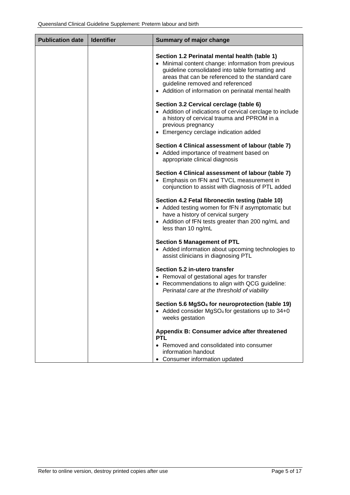| <b>Publication date</b> | <b>Identifier</b> | Summary of major change                                                                                                                                                                                                                                                                                   |
|-------------------------|-------------------|-----------------------------------------------------------------------------------------------------------------------------------------------------------------------------------------------------------------------------------------------------------------------------------------------------------|
|                         |                   | Section 1.2 Perinatal mental health (table 1)<br>• Minimal content change: information from previous<br>guideline consolidated into table formatting and<br>areas that can be referenced to the standard care<br>guideline removed and referenced<br>• Addition of information on perinatal mental health |
|                         |                   | Section 3.2 Cervical cerclage (table 6)<br>• Addition of indications of cervical cerclage to include<br>a history of cervical trauma and PPROM in a<br>previous pregnancy<br>• Emergency cerclage indication added                                                                                        |
|                         |                   | Section 4 Clinical assessment of labour (table 7)<br>• Added importance of treatment based on<br>appropriate clinical diagnosis                                                                                                                                                                           |
|                         |                   | Section 4 Clinical assessment of labour (table 7)<br>• Emphasis on fFN and TVCL measurement in<br>conjunction to assist with diagnosis of PTL added                                                                                                                                                       |
|                         |                   | Section 4.2 Fetal fibronectin testing (table 10)<br>• Added testing women for fFN if asymptomatic but<br>have a history of cervical surgery<br>• Addition of fFN tests greater than 200 ng/mL and<br>less than 10 ng/mL                                                                                   |
|                         |                   | <b>Section 5 Management of PTL</b><br>• Added information about upcoming technologies to<br>assist clinicians in diagnosing PTL                                                                                                                                                                           |
|                         |                   | Section 5.2 in-utero transfer<br>• Removal of gestational ages for transfer<br>• Recommendations to align with QCG guideline:<br>Perinatal care at the threshold of viability                                                                                                                             |
|                         |                   | Section 5.6 MgSO <sub>4</sub> for neuroprotection (table 19)<br>• Added consider MgSO <sub>4</sub> for gestations up to 34+0<br>weeks gestation                                                                                                                                                           |
|                         |                   | Appendix B: Consumer advice after threatened<br><b>PTL</b>                                                                                                                                                                                                                                                |
|                         |                   | • Removed and consolidated into consumer<br>information handout<br>• Consumer information updated                                                                                                                                                                                                         |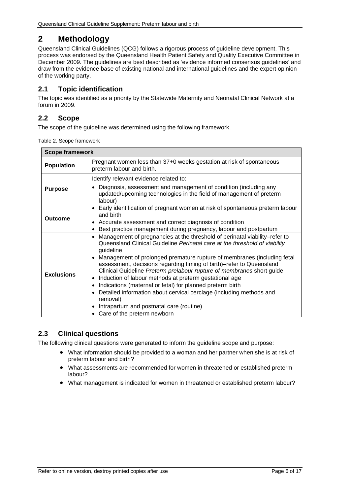# <span id="page-5-0"></span>**2 Methodology**

Queensland Clinical Guidelines (QCG) follows a rigorous process of guideline development. This process was endorsed by the Queensland Health Patient Safety and Quality Executive Committee in December 2009. The guidelines are best described as 'evidence informed consensus guidelines' and draw from the evidence base of existing national and international guidelines and the expert opinion of the working party.

## <span id="page-5-1"></span>**2.1 Topic identification**

The topic was identified as a priority by the Statewide Maternity and Neonatal Clinical Network at a forum in 2009.

## <span id="page-5-2"></span>**2.2 Scope**

<span id="page-5-4"></span>The scope of the guideline was determined using the following framework.

|  | Table 2. Scope framework |
|--|--------------------------|
|  |                          |

| <b>Scope framework</b>                                                                                                 |                                                                                                                                                                                                                                                                                                                                                                                                                                                                                                                                                                                                                                                                                                         |  |  |
|------------------------------------------------------------------------------------------------------------------------|---------------------------------------------------------------------------------------------------------------------------------------------------------------------------------------------------------------------------------------------------------------------------------------------------------------------------------------------------------------------------------------------------------------------------------------------------------------------------------------------------------------------------------------------------------------------------------------------------------------------------------------------------------------------------------------------------------|--|--|
| Pregnant women less than 37+0 weeks gestation at risk of spontaneous<br><b>Population</b><br>preterm labour and birth. |                                                                                                                                                                                                                                                                                                                                                                                                                                                                                                                                                                                                                                                                                                         |  |  |
| <b>Purpose</b>                                                                                                         | Identify relevant evidence related to:<br>Diagnosis, assessment and management of condition (including any<br>updated/upcoming technologies in the field of management of preterm                                                                                                                                                                                                                                                                                                                                                                                                                                                                                                                       |  |  |
| <b>Outcome</b>                                                                                                         | labour)<br>• Early identification of pregnant women at risk of spontaneous preterm labour<br>and birth<br>• Accurate assessment and correct diagnosis of condition<br>Best practice management during pregnancy, labour and postpartum                                                                                                                                                                                                                                                                                                                                                                                                                                                                  |  |  |
| <b>Exclusions</b>                                                                                                      | Management of pregnancies at the threshold of perinatal viability-refer to<br>Queensland Clinical Guideline Perinatal care at the threshold of viability<br>guideline<br>• Management of prolonged premature rupture of membranes (including fetal<br>assessment, decisions regarding timing of birth)-refer to Queensland<br>Clinical Guideline Preterm prelabour rupture of membranes short guide<br>Induction of labour methods at preterm gestational age<br>$\bullet$<br>Indications (maternal or fetal) for planned preterm birth<br>Detailed information about cervical cerclage (including methods and<br>removal)<br>Intrapartum and postnatal care (routine)<br>• Care of the preterm newborn |  |  |

# <span id="page-5-3"></span>**2.3 Clinical questions**

The following clinical questions were generated to inform the guideline scope and purpose:

- What information should be provided to a woman and her partner when she is at risk of preterm labour and birth?
- What assessments are recommended for women in threatened or established preterm labour?
- What management is indicated for women in threatened or established preterm labour?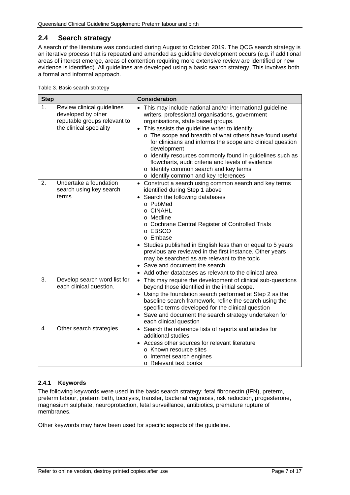## <span id="page-6-0"></span>**2.4 Search strategy**

A search of the literature was conducted during August to October 2019. The QCG search strategy is an iterative process that is repeated and amended as guideline development occurs (e.g. if additional areas of interest emerge, areas of contention requiring more extensive review are identified or new evidence is identified). All guidelines are developed using a basic search strategy. This involves both a formal and informal approach.

<span id="page-6-2"></span>

| Table 3. Basic search strategy |  |
|--------------------------------|--|
|                                |  |

| <b>Step</b> |                                                                                                             | <b>Consideration</b>                                                                                                                                                                                                                                                                                                                                                                                                                                                                                                                                            |
|-------------|-------------------------------------------------------------------------------------------------------------|-----------------------------------------------------------------------------------------------------------------------------------------------------------------------------------------------------------------------------------------------------------------------------------------------------------------------------------------------------------------------------------------------------------------------------------------------------------------------------------------------------------------------------------------------------------------|
| 1.          | Review clinical guidelines<br>developed by other<br>reputable groups relevant to<br>the clinical speciality | This may include national and/or international guideline<br>$\bullet$<br>writers, professional organisations, government<br>organisations, state based groups.<br>• This assists the guideline writer to identify:<br>o The scope and breadth of what others have found useful<br>for clinicians and informs the scope and clinical question<br>development<br>o Identify resources commonly found in guidelines such as<br>flowcharts, audit criteria and levels of evidence<br>o Identify common search and key terms<br>o Identify common and key references |
| 2.          | Undertake a foundation<br>search using key search<br>terms                                                  | • Construct a search using common search and key terms<br>identified during Step 1 above<br>Search the following databases<br>$\bullet$<br>o PubMed<br>o CINAHL<br>o Medline<br>o Cochrane Central Register of Controlled Trials<br>o EBSCO<br>o Embase<br>Studies published in English less than or equal to 5 years<br>previous are reviewed in the first instance. Other years<br>may be searched as are relevant to the topic<br>• Save and document the search<br>Add other databases as relevant to the clinical area                                     |
| 3.          | Develop search word list for<br>each clinical question.                                                     | • This may require the development of clinical sub-questions<br>beyond those identified in the initial scope.<br>• Using the foundation search performed at Step 2 as the<br>baseline search framework, refine the search using the<br>specific terms developed for the clinical question<br>• Save and document the search strategy undertaken for<br>each clinical question                                                                                                                                                                                   |
| 4.          | Other search strategies                                                                                     | • Search the reference lists of reports and articles for<br>additional studies<br>Access other sources for relevant literature<br>o Known resource sites<br>o Internet search engines<br>o Relevant text books                                                                                                                                                                                                                                                                                                                                                  |

#### <span id="page-6-1"></span>**2.4.1 Keywords**

The following keywords were used in the basic search strategy: fetal fibronectin (fFN), preterm, preterm labour, preterm birth, tocolysis, transfer, bacterial vaginosis, risk reduction, progesterone, magnesium sulphate, neuroprotection, fetal surveillance, antibiotics, premature rupture of membranes.

Other keywords may have been used for specific aspects of the guideline.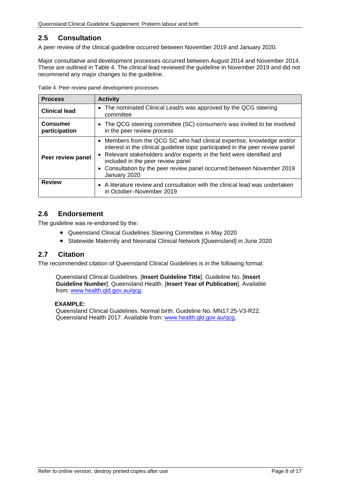## <span id="page-7-0"></span>**2.5 Consultation**

A peer review of the clinical guideline occurred between November 2019 and January 2020.

Major consultative and development processes occurred between August 2014 and November 2014. These are outlined in Table 4. The clinical lead reviewed the guideline in November 2019 and did not recommend any major changes to the guideline.

<span id="page-7-3"></span>Table 4. Peer review panel development processes

| <b>Process</b>                   | <b>Activity</b>                                                                                                                                                                                                                                                                                                                                                    |
|----------------------------------|--------------------------------------------------------------------------------------------------------------------------------------------------------------------------------------------------------------------------------------------------------------------------------------------------------------------------------------------------------------------|
| <b>Clinical lead</b>             | • The nominated Clinical Lead/s was approved by the QCG steering<br>committee                                                                                                                                                                                                                                                                                      |
| <b>Consumer</b><br>participation | • The QCG steering committee (SC) consumer/s was invited to be involved<br>in the peer review process                                                                                                                                                                                                                                                              |
| Peer review panel                | • Members from the QCG SC who had clinical expertise, knowledge and/or<br>interest in the clinical guideline topic participated in the peer review panel<br>• Relevant stakeholders and/or experts in the field were identified and<br>included in the peer review panel<br>• Consultation by the peer review panel occurred between November 2019<br>January 2020 |
| <b>Review</b>                    | • A literature review and consultation with the clinical lead was undertaken<br>in October-November 2019                                                                                                                                                                                                                                                           |

### <span id="page-7-1"></span>**2.6 Endorsement**

The guideline was re-endorsed by the:

- Queensland Clinical Guidelines Steering Committee in May 2020
- Statewide Maternity and Neonatal Clinical Network [Queensland] in June 2020

### <span id="page-7-2"></span>**2.7 Citation**

The recommended citation of Queensland Clinical Guidelines is in the following format:

Queensland Clinical Guidelines. [**Insert Guideline Title**]. Guideline No. [**Insert Guideline Number**]. Queensland Health. [**Insert Year of Publication**]. Available from: [www.health.qld.gov.au/qcg.](http://www.health.qld.gov.au/qcg)

#### **EXAMPLE:**

Queensland Clinical Guidelines. Normal birth. Guideline No. MN17.25-V3-R22. Queensland Health 2017. Available from: [www.health.qld.gov.au/qcg.](http://www.health.qld.gov.au/qcg)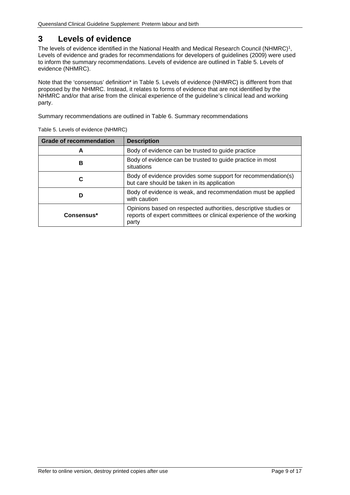# <span id="page-8-0"></span>**3 Levels of evidence**

The levels of evidence identified in the National Health and Medical Research Council (NHMRC)<sup>1</sup>, Levels of evidence and grades for recommendations for developers of guidelines (2009) were used to inform the summary recommendations. Levels of evidence are outlined in [Table 5. Levels of](#page-8-1)  [evidence \(NHMRC\).](#page-8-1)

Note that the 'consensus' definition\* in [Table 5. Levels of evidence \(NHMRC\)](#page-8-1) is different from that proposed by the NHMRC. Instead, it relates to forms of evidence that are not identified by the NHMRC and/or that arise from the clinical experience of the guideline's clinical lead and working party.

<span id="page-8-1"></span>Summary recommendations are outlined in [Table 6. Summary recommendations](#page-9-1)

| <b>Grade of recommendation</b> | <b>Description</b>                                                                                                                             |  |
|--------------------------------|------------------------------------------------------------------------------------------------------------------------------------------------|--|
| A                              | Body of evidence can be trusted to guide practice                                                                                              |  |
| В                              | Body of evidence can be trusted to guide practice in most<br>situations                                                                        |  |
|                                | Body of evidence provides some support for recommendation(s)<br>but care should be taken in its application                                    |  |
| D                              | Body of evidence is weak, and recommendation must be applied<br>with caution                                                                   |  |
| Consensus*                     | Opinions based on respected authorities, descriptive studies or<br>reports of expert committees or clinical experience of the working<br>party |  |

Table 5. Levels of evidence (NHMRC)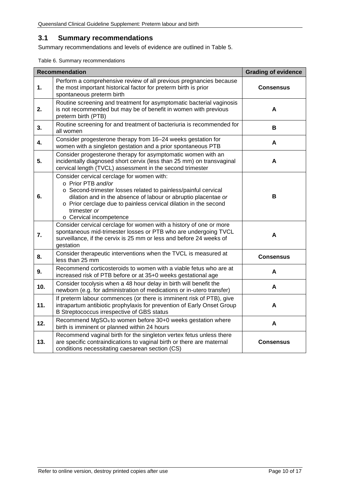#### <span id="page-9-0"></span>**3.1 Summary recommendations**

Summary recommendations and levels of evidence are outlined in Table 5.

<span id="page-9-1"></span>Table 6. Summary recommendations

|     | <b>Recommendation</b><br><b>Grading of evidence</b>                                                                                                                                                                                                                                                                 |                  |  |  |
|-----|---------------------------------------------------------------------------------------------------------------------------------------------------------------------------------------------------------------------------------------------------------------------------------------------------------------------|------------------|--|--|
| 1.  | Perform a comprehensive review of all previous pregnancies because<br>the most important historical factor for preterm birth is prior<br><b>Consensus</b><br>spontaneous preterm birth                                                                                                                              |                  |  |  |
| 2.  | Routine screening and treatment for asymptomatic bacterial vaginosis<br>is not recommended but may be of benefit in women with previous<br>preterm birth (PTB)                                                                                                                                                      | A                |  |  |
| 3.  | Routine screening for and treatment of bacteriuria is recommended for<br>all women                                                                                                                                                                                                                                  | в                |  |  |
| 4.  | Consider progesterone therapy from 16-24 weeks gestation for<br>women with a singleton gestation and a prior spontaneous PTB                                                                                                                                                                                        | A                |  |  |
| 5.  | Consider progesterone therapy for asymptomatic women with an<br>incidentally diagnosed short cervix (less than 25 mm) on transvaginal<br>cervical length (TVCL) assessment in the second trimester                                                                                                                  | A                |  |  |
| 6.  | Consider cervical cerclage for women with:<br>o Prior PTB and/or<br>o Second-trimester losses related to painless/painful cervical<br>dilation and in the absence of labour or abruptio placentae or<br>o Prior cerclage due to painless cervical dilation in the second<br>trimester or<br>o Cervical incompetence | В                |  |  |
| 7.  | Consider cervical cerclage for women with a history of one or more<br>spontaneous mid-trimester losses or PTB who are undergoing TVCL<br>surveillance, if the cervix is 25 mm or less and before 24 weeks of<br>gestation                                                                                           | A                |  |  |
| 8.  | Consider therapeutic interventions when the TVCL is measured at<br>less than 25 mm                                                                                                                                                                                                                                  | <b>Consensus</b> |  |  |
| 9.  | Recommend corticosteroids to women with a viable fetus who are at<br>increased risk of PTB before or at 35+0 weeks gestational age                                                                                                                                                                                  | A                |  |  |
| 10. | Consider tocolysis when a 48 hour delay in birth will benefit the<br>newborn (e.g. for administration of medications or in-utero transfer)                                                                                                                                                                          | A                |  |  |
| 11. | If preterm labour commences (or there is imminent risk of PTB), give<br>intrapartum antibiotic prophylaxis for prevention of Early Onset Group<br>B Streptococcus irrespective of GBS status                                                                                                                        | А                |  |  |
| 12. | Recommend MgSO <sub>4</sub> to women before 30+0 weeks gestation where<br>birth is imminent or planned within 24 hours                                                                                                                                                                                              | A                |  |  |
| 13. | Recommend vaginal birth for the singleton vertex fetus unless there<br>are specific contraindications to vaginal birth or there are maternal<br>conditions necessitating caesarean section (CS)                                                                                                                     | <b>Consensus</b> |  |  |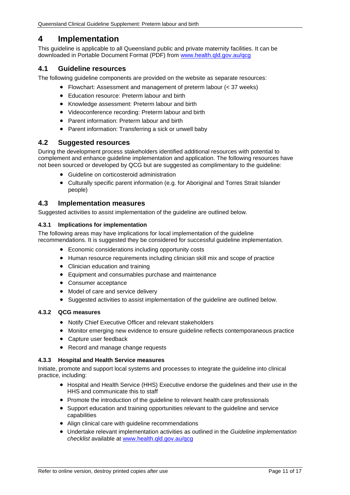# <span id="page-10-0"></span>**4 Implementation**

This guideline is applicable to all Queensland public and private maternity facilities. It can be downloaded in Portable Document Format (PDF) from [www.health.qld.gov.au/qcg](http://www.health.qld.gov.au/qcg)

#### <span id="page-10-1"></span>**4.1 Guideline resources**

The following guideline components are provided on the website as separate resources:

- Flowchart: Assessment and management of preterm labour (< 37 weeks)
- Education resource: Preterm labour and birth
- Knowledge assessment: Preterm labour and birth
- Videoconference recording: Preterm labour and birth
- Parent information: Preterm labour and birth
- Parent information: Transferring a sick or unwell baby

#### <span id="page-10-2"></span>**4.2 Suggested resources**

During the development process stakeholders identified additional resources with potential to complement and enhance guideline implementation and application. The following resources have not been sourced or developed by QCG but are suggested as complimentary to the guideline:

- Guideline on corticosteroid administration
- Culturally specific parent information (e.g. for Aboriginal and Torres Strait Islander people)

#### <span id="page-10-3"></span>**4.3 Implementation measures**

Suggested activities to assist implementation of the guideline are outlined below.

#### <span id="page-10-4"></span>**4.3.1 Implications for implementation**

The following areas may have implications for local implementation of the guideline recommendations. It is suggested they be considered for successful guideline implementation.

- Economic considerations including opportunity costs
- Human resource requirements including clinician skill mix and scope of practice
- Clinician education and training
- Equipment and consumables purchase and maintenance
- Consumer acceptance
- Model of care and service delivery
- Suggested activities to assist implementation of the guideline are outlined below.

#### <span id="page-10-5"></span>**4.3.2 QCG measures**

- Notify Chief Executive Officer and relevant stakeholders
- Monitor emerging new evidence to ensure guideline reflects contemporaneous practice
- Capture user feedback
- Record and manage change requests

#### <span id="page-10-6"></span>**4.3.3 Hospital and Health Service measures**

Initiate, promote and support local systems and processes to integrate the guideline into clinical practice, including:

- Hospital and Health Service (HHS) Executive endorse the guidelines and their use in the HHS and communicate this to staff
- Promote the introduction of the guideline to relevant health care professionals
- Support education and training opportunities relevant to the guideline and service capabilities
- Align clinical care with guideline recommendations
- Undertake relevant implementation activities as outlined in the *Guideline implementation checklist* available at [www.health.qld.gov.au/qcg](http://www.health.qld.gov.au/qcg)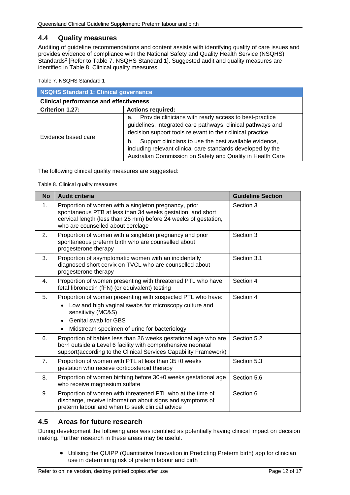#### <span id="page-11-0"></span>**4.4 Quality measures**

Auditing of guideline recommendations and content assists with identifying quality of care issues and provides evidence of compliance with the National Safety and Quality Health Service (NSQHS) Standards<sup>2</sup> [Refer to Table 7. [NSQHS Standard 1\]](#page-11-2). Suggested audit and quality measures are identified in [Table 8. Clinical quality measures.](#page-11-3)

<span id="page-11-2"></span>Table 7. NSQHS Standard 1

| <b>NSQHS Standard 1: Clinical governance</b>  |                                                                                                                                                                                           |  |
|-----------------------------------------------|-------------------------------------------------------------------------------------------------------------------------------------------------------------------------------------------|--|
| <b>Clinical performance and effectiveness</b> |                                                                                                                                                                                           |  |
| Criterion 1.27:                               | <b>Actions required:</b>                                                                                                                                                                  |  |
| Evidence based care                           | Provide clinicians with ready access to best-practice<br>a.<br>guidelines, integrated care pathways, clinical pathways and<br>decision support tools relevant to their clinical practice  |  |
|                                               | Support clinicians to use the best available evidence,<br>b.<br>including relevant clinical care standards developed by the<br>Australian Commission on Safety and Quality in Health Care |  |

<span id="page-11-3"></span>The following clinical quality measures are suggested:

Table 8. Clinical quality measures

| <b>No</b>      | <b>Audit criteria</b>                                                                                                                                                                                                       | <b>Guideline Section</b> |
|----------------|-----------------------------------------------------------------------------------------------------------------------------------------------------------------------------------------------------------------------------|--------------------------|
| 1 <sub>1</sub> | Proportion of women with a singleton pregnancy, prior<br>spontaneous PTB at less than 34 weeks gestation, and short<br>cervical length (less than 25 mm) before 24 weeks of gestation,<br>who are counselled about cerclage | Section 3                |
| 2.             | Proportion of women with a singleton pregnancy and prior<br>spontaneous preterm birth who are counselled about<br>progesterone therapy                                                                                      | Section 3                |
| 3.             | Proportion of asymptomatic women with an incidentally<br>diagnosed short cervix on TVCL who are counselled about<br>progesterone therapy                                                                                    | Section 3.1              |
| $\mathbf{4}$ . | Proportion of women presenting with threatened PTL who have<br>fetal fibronectin (fFN) (or equivalent) testing                                                                                                              | Section 4                |
| 5.             | Proportion of women presenting with suspected PTL who have:<br>Low and high vaginal swabs for microscopy culture and<br>sensitivity (MC&S)<br>Genital swab for GBS<br>$\bullet$                                             | Section 4                |
|                | Midstream specimen of urine for bacteriology<br>$\bullet$                                                                                                                                                                   |                          |
| 6.             | Proportion of babies less than 26 weeks gestational age who are<br>born outside a Level 6 facility with comprehensive neonatal<br>support(according to the Clinical Services Capability Framework)                          | Section 5.2              |
| 7 <sub>1</sub> | Proportion of women with PTL at less than 35+0 weeks<br>gestation who receive corticosteroid therapy                                                                                                                        | Section 5.3              |
| 8.             | Proportion of women birthing before 30+0 weeks gestational age<br>who receive magnesium sulfate                                                                                                                             | Section 5.6              |
| 9.             | Proportion of women with threatened PTL who at the time of<br>discharge, receive information about signs and symptoms of<br>preterm labour and when to seek clinical advice                                                 | Section 6                |

## <span id="page-11-1"></span>**4.5 Areas for future research**

During development the following area was identified as potentially having clinical impact on decision making. Further research in these areas may be useful.

• Utilising the QUIPP (Quantitative Innovation in Predicting Preterm birth) app for clinician use in determining risk of preterm labour and birth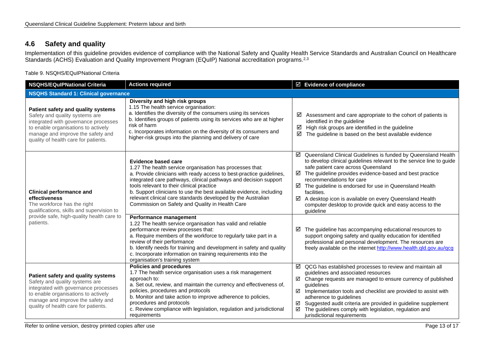## **4.6 Safety and quality**

Implementation of this guideline provides evidence of compliance with the National Safety and Quality Health Service Standards and Australian Council on Healthcare Standards (ACHS) Evaluation and Quality Improvement Program (EQuIP) National accreditation programs.<sup>2,3</sup>

Table 9. NSQHS/EQuIPNational Criteria

<span id="page-12-1"></span><span id="page-12-0"></span>

| <b>Actions required</b><br><b>NSQHS/EQuIPNational Criteria</b>                                                                                                                                                                   |                                                                                                                                                                                                                                                                                                                                                                                                                                                                           | ☑ Evidence of compliance                                                                                                                                                                                                                                                                                                                                                                                                                                                                             |  |  |  |  |
|----------------------------------------------------------------------------------------------------------------------------------------------------------------------------------------------------------------------------------|---------------------------------------------------------------------------------------------------------------------------------------------------------------------------------------------------------------------------------------------------------------------------------------------------------------------------------------------------------------------------------------------------------------------------------------------------------------------------|------------------------------------------------------------------------------------------------------------------------------------------------------------------------------------------------------------------------------------------------------------------------------------------------------------------------------------------------------------------------------------------------------------------------------------------------------------------------------------------------------|--|--|--|--|
| <b>NSQHS Standard 1: Clinical governance</b>                                                                                                                                                                                     |                                                                                                                                                                                                                                                                                                                                                                                                                                                                           |                                                                                                                                                                                                                                                                                                                                                                                                                                                                                                      |  |  |  |  |
| Patient safety and quality systems<br>Safety and quality systems are<br>integrated with governance processes<br>to enable organisations to actively<br>manage and improve the safety and<br>quality of health care for patients. | Diversity and high risk groups<br>1.15 The health service organisation:<br>a. Identifies the diversity of the consumers using its services<br>b. Identifies groups of patients using its services who are at higher<br>risk of harm<br>c. Incorporates information on the diversity of its consumers and<br>higher-risk groups into the planning and delivery of care                                                                                                     | ☑<br>Assessment and care appropriate to the cohort of patients is<br>identified in the guideline<br>High risk groups are identified in the guideline<br>☑<br>☑<br>The guideline is based on the best available evidence                                                                                                                                                                                                                                                                              |  |  |  |  |
| <b>Clinical performance and</b><br>effectiveness<br>The workforce has the right<br>qualifications, skills and supervision to                                                                                                     | <b>Evidence based care</b><br>1.27 The health service organisation has processes that:<br>a. Provide clinicians with ready access to best-practice guidelines,<br>integrated care pathways, clinical pathways and decision support<br>tools relevant to their clinical practice<br>b. Support clinicians to use the best available evidence, including<br>relevant clinical care standards developed by the Australian<br>Commission on Safety and Quality in Health Care | ☑ Queensland Clinical Guidelines is funded by Queensland Health<br>to develop clinical guidelines relevant to the service line to guide<br>safe patient care across Queensland<br>The guideline provides evidence-based and best practice<br>☑<br>recommendations for care<br>$\boxtimes$ The guideline is endorsed for use in Queensland Health<br>facilities.<br>☑ A desktop icon is available on every Queensland Health<br>computer desktop to provide quick and easy access to the<br>quideline |  |  |  |  |
| provide safe, high-quality health care to<br>patients.                                                                                                                                                                           | Performance management<br>1.22 The health service organisation has valid and reliable<br>performance review processes that:<br>a. Require members of the workforce to regularly take part in a<br>review of their performance<br>b. Identify needs for training and development in safety and quality<br>c. Incorporate information on training requirements into the<br>organisation's training system                                                                   | The guideline has accompanying educational resources to<br>☑<br>support ongoing safety and quality education for identified<br>professional and personal development. The resources are<br>freely available on the internet http://www.health.qld.gov.au/qcg                                                                                                                                                                                                                                         |  |  |  |  |
| Patient safety and quality systems<br>Safety and quality systems are<br>integrated with governance processes<br>to enable organisations to actively<br>manage and improve the safety and<br>quality of health care for patients. | <b>Policies and procedures</b><br>1.7 The health service organisation uses a risk management<br>approach to:<br>a. Set out, review, and maintain the currency and effectiveness of,<br>policies, procedures and protocols<br>b. Monitor and take action to improve adherence to policies,<br>procedures and protocols<br>c. Review compliance with legislation, regulation and jurisdictional<br>requirements                                                             | $\boxtimes$ QCG has established processes to review and maintain all<br>guidelines and associated resources<br>$\boxtimes$ Change requests are managed to ensure currency of published<br>quidelines<br>Implementation tools and checklist are provided to assist with<br>☑<br>adherence to guidelines<br>Suggested audit criteria are provided in guideline supplement<br>☑<br>The guidelines comply with legislation, regulation and<br>☑<br>jurisdictional requirements                           |  |  |  |  |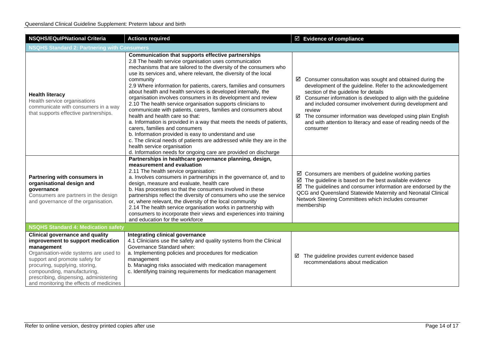| <b>NSQHS/EQuIPNational Criteria</b>                                                                                                                                                                                                                                                                                        | <b>Actions required</b>                                                                                                                                                                                                                                                                                                                                                                                                                                                                                                                                                                                                                                                                                                                                                                                                                                                                                                                                                                         | $\boxtimes$ Evidence of compliance                                                                                                                                                                                                                                                                                                                                                                                                                                              |  |  |  |
|----------------------------------------------------------------------------------------------------------------------------------------------------------------------------------------------------------------------------------------------------------------------------------------------------------------------------|-------------------------------------------------------------------------------------------------------------------------------------------------------------------------------------------------------------------------------------------------------------------------------------------------------------------------------------------------------------------------------------------------------------------------------------------------------------------------------------------------------------------------------------------------------------------------------------------------------------------------------------------------------------------------------------------------------------------------------------------------------------------------------------------------------------------------------------------------------------------------------------------------------------------------------------------------------------------------------------------------|---------------------------------------------------------------------------------------------------------------------------------------------------------------------------------------------------------------------------------------------------------------------------------------------------------------------------------------------------------------------------------------------------------------------------------------------------------------------------------|--|--|--|
| <b>NSQHS Standard 2: Partnering with Consumers</b>                                                                                                                                                                                                                                                                         |                                                                                                                                                                                                                                                                                                                                                                                                                                                                                                                                                                                                                                                                                                                                                                                                                                                                                                                                                                                                 |                                                                                                                                                                                                                                                                                                                                                                                                                                                                                 |  |  |  |
| <b>Health literacy</b><br>Health service organisations<br>communicate with consumers in a way<br>that supports effective partnerships.                                                                                                                                                                                     | Communication that supports effective partnerships<br>2.8 The health service organisation uses communication<br>mechanisms that are tailored to the diversity of the consumers who<br>use its services and, where relevant, the diversity of the local<br>community<br>2.9 Where information for patients, carers, families and consumers<br>about health and health services is developed internally, the<br>organisation involves consumers in its development and review<br>2.10 The health service organisation supports clinicians to<br>communicate with patients, carers, families and consumers about<br>health and health care so that:<br>a. Information is provided in a way that meets the needs of patients,<br>carers, families and consumers<br>b. Information provided is easy to understand and use<br>c. The clinical needs of patients are addressed while they are in the<br>health service organisation<br>d. Information needs for ongoing care are provided on discharge | $\boxtimes$ Consumer consultation was sought and obtained during the<br>development of the guideline. Refer to the acknowledgement<br>section of the guideline for details<br>$\boxtimes$ Consumer information is developed to align with the guideline<br>and included consumer involvement during development and<br>review<br>The consumer information was developed using plain English<br>☑<br>and with attention to literacy and ease of reading needs of the<br>consumer |  |  |  |
| Partnering with consumers in<br>organisational design and<br>qovernance<br>Consumers are partners in the design<br>and governance of the organisation.                                                                                                                                                                     | Partnerships in healthcare governance planning, design,<br>measurement and evaluation<br>2.11 The health service organisation:<br>a. Involves consumers in partnerships in the governance of, and to<br>design, measure and evaluate, health care<br>b. Has processes so that the consumers involved in these<br>partnerships reflect the diversity of consumers who use the service<br>or, where relevant, the diversity of the local community<br>2.14 The health service organisation works in partnership with<br>consumers to incorporate their views and experiences into training<br>and education for the workforce                                                                                                                                                                                                                                                                                                                                                                     | $\boxtimes$ Consumers are members of guideline working parties<br>$\boxtimes$ The guideline is based on the best available evidence<br>$\boxtimes$ The guidelines and consumer information are endorsed by the<br>QCG and Queensland Statewide Maternity and Neonatal Clinical<br>Network Steering Committees which includes consumer<br>membership                                                                                                                             |  |  |  |
| <b>NSQHS Standard 4: Medication safety</b>                                                                                                                                                                                                                                                                                 |                                                                                                                                                                                                                                                                                                                                                                                                                                                                                                                                                                                                                                                                                                                                                                                                                                                                                                                                                                                                 |                                                                                                                                                                                                                                                                                                                                                                                                                                                                                 |  |  |  |
| <b>Clinical governance and quality</b><br>improvement to support medication<br>management<br>Organisation-wide systems are used to<br>support and promote safety for<br>procuring, supplying, storing,<br>compounding, manufacturing,<br>prescribing, dispensing, administering<br>and monitoring the effects of medicines | Integrating clinical governance<br>4.1 Clinicians use the safety and quality systems from the Clinical<br>Governance Standard when:<br>a. Implementing policies and procedures for medication<br>management<br>b. Managing risks associated with medication management<br>c. Identifying training requirements for medication management                                                                                                                                                                                                                                                                                                                                                                                                                                                                                                                                                                                                                                                        | The guideline provides current evidence based<br>☑<br>recommendations about medication                                                                                                                                                                                                                                                                                                                                                                                          |  |  |  |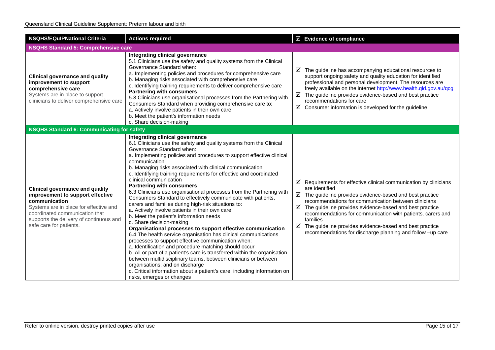| <b>NSQHS/EQuIPNational Criteria</b>                                                                                                                                                                                                           | <b>Actions required</b>                                                                                                                                                                                                                                                                                                                                                                                                                                                                                                                                                                                                                                                                                                                                                                                                                                                                                                                                                                                                                                                                                                                                                                                                                                                                            | $\boxtimes$ Evidence of compliance                                                                                                                                                                                                                                                                                                                                                                                                                                                                    |  |  |  |
|-----------------------------------------------------------------------------------------------------------------------------------------------------------------------------------------------------------------------------------------------|----------------------------------------------------------------------------------------------------------------------------------------------------------------------------------------------------------------------------------------------------------------------------------------------------------------------------------------------------------------------------------------------------------------------------------------------------------------------------------------------------------------------------------------------------------------------------------------------------------------------------------------------------------------------------------------------------------------------------------------------------------------------------------------------------------------------------------------------------------------------------------------------------------------------------------------------------------------------------------------------------------------------------------------------------------------------------------------------------------------------------------------------------------------------------------------------------------------------------------------------------------------------------------------------------|-------------------------------------------------------------------------------------------------------------------------------------------------------------------------------------------------------------------------------------------------------------------------------------------------------------------------------------------------------------------------------------------------------------------------------------------------------------------------------------------------------|--|--|--|
| <b>NSQHS Standard 5: Comprehensive care</b>                                                                                                                                                                                                   |                                                                                                                                                                                                                                                                                                                                                                                                                                                                                                                                                                                                                                                                                                                                                                                                                                                                                                                                                                                                                                                                                                                                                                                                                                                                                                    |                                                                                                                                                                                                                                                                                                                                                                                                                                                                                                       |  |  |  |
| <b>Clinical governance and quality</b><br>improvement to support<br>comprehensive care<br>Systems are in place to support<br>clinicians to deliver comprehensive care                                                                         | Integrating clinical governance<br>5.1 Clinicians use the safety and quality systems from the Clinical<br>Governance Standard when:<br>a. Implementing policies and procedures for comprehensive care<br>b. Managing risks associated with comprehensive care<br>c. Identifying training requirements to deliver comprehensive care<br><b>Partnering with consumers</b><br>5.3 Clinicians use organisational processes from the Partnering with<br>Consumers Standard when providing comprehensive care to:<br>a. Actively involve patients in their own care<br>b. Meet the patient's information needs<br>c. Share decision-making                                                                                                                                                                                                                                                                                                                                                                                                                                                                                                                                                                                                                                                               | $\boxtimes$ The guideline has accompanying educational resources to<br>support ongoing safety and quality education for identified<br>professional and personal development. The resources are<br>freely available on the internet http://www.health.qld.gov.au/qcg<br>$\boxtimes$ The guideline provides evidence-based and best practice<br>recommendations for care<br>☑<br>Consumer information is developed for the guideline                                                                    |  |  |  |
| <b>NSQHS Standard 6: Communicating for safety</b>                                                                                                                                                                                             |                                                                                                                                                                                                                                                                                                                                                                                                                                                                                                                                                                                                                                                                                                                                                                                                                                                                                                                                                                                                                                                                                                                                                                                                                                                                                                    |                                                                                                                                                                                                                                                                                                                                                                                                                                                                                                       |  |  |  |
| <b>Clinical governance and quality</b><br>improvement to support effective<br>communication<br>Systems are in place for effective and<br>coordinated communication that<br>supports the delivery of continuous and<br>safe care for patients. | Integrating clinical governance<br>6.1 Clinicians use the safety and quality systems from the Clinical<br>Governance Standard when:<br>a. Implementing policies and procedures to support effective clinical<br>communication<br>b. Managing risks associated with clinical communication<br>c. Identifying training requirements for effective and coordinated<br>clinical communication<br><b>Partnering with consumers</b><br>6.3 Clinicians use organisational processes from the Partnering with<br>Consumers Standard to effectively communicate with patients,<br>carers and families during high-risk situations to:<br>a. Actively involve patients in their own care<br>b. Meet the patient's information needs<br>c. Share decision-making<br>Organisational processes to support effective communication<br>6.4 The health service organisation has clinical communications<br>processes to support effective communication when:<br>a. Identification and procedure matching should occur<br>b. All or part of a patient's care is transferred within the organisation,<br>between multidisciplinary teams, between clinicians or between<br>organisations; and on discharge<br>c. Critical information about a patient's care, including information on<br>risks, emerges or changes | $\boxtimes$ Requirements for effective clinical communication by clinicians<br>are identified<br>$\boxtimes$ The guideline provides evidence-based and best practice<br>recommendations for communication between clinicians<br>The guideline provides evidence-based and best practice<br>☑<br>recommendations for communication with patients, carers and<br>families<br>The guideline provides evidence-based and best practice<br>☑<br>recommendations for discharge planning and follow -up care |  |  |  |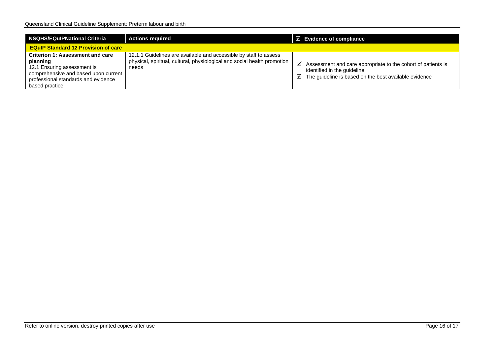| NSQHS/EQulPNational Criteria                                                                                                                                                 | <b>Actions required</b>                                                                                                                                | $\boxtimes$ Evidence of compliance                                                                                                                                           |  |  |  |
|------------------------------------------------------------------------------------------------------------------------------------------------------------------------------|--------------------------------------------------------------------------------------------------------------------------------------------------------|------------------------------------------------------------------------------------------------------------------------------------------------------------------------------|--|--|--|
| <b>EQuIP Standard 12 Provision of care</b>                                                                                                                                   |                                                                                                                                                        |                                                                                                                                                                              |  |  |  |
| Criterion 1: Assessment and care<br>planning<br>12.1 Ensuring assessment is<br>comprehensive and based upon current<br>professional standards and evidence<br>based practice | 12.1.1 Guidelines are available and accessible by staff to assess<br>physical, spiritual, cultural, physiological and social health promotion<br>needs | $\boxtimes$ Assessment and care appropriate to the cohort of patients is<br>identified in the guideline<br>$\boxtimes$ The guideline is based on the best available evidence |  |  |  |